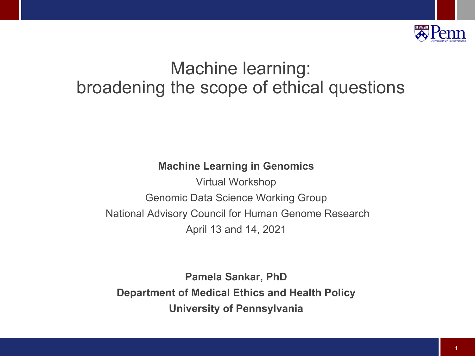

## Machine learning: broadening the scope of ethical questions

#### **Machine Learning in Genomics**

Virtual Workshop Genomic Data Science Working Group National Advisory Council for Human Genome Research April 13 and 14, 2021

**Pamela Sankar, PhD Department of Medical Ethics and Health Policy University of Pennsylvania**

1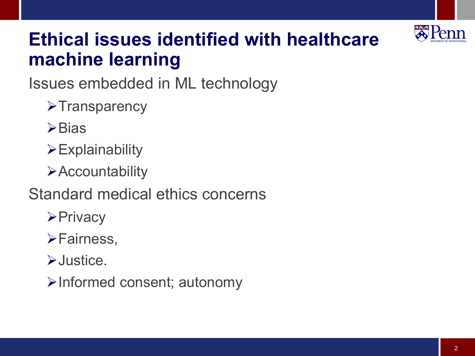

## **Ethical issues identified with healthcare machine learning**

Issues embedded in ML technology

- $\triangleright$ Transparency
- $\triangleright$ Bias
- $\triangleright$  Explainability
- **Execuntability**
- Standard medical ethics concerns
	- **≻Privacy**
	- **≻Fairness,**
	- ØJustice.
	- ØInformed consent; autonomy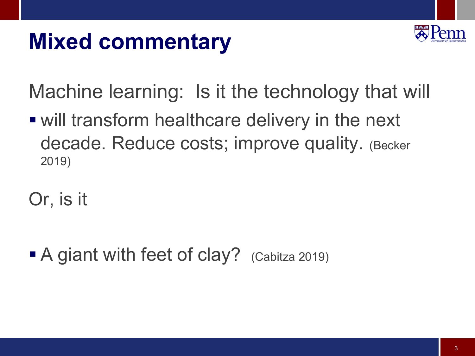# **Mixed commentary**



Machine learning: Is it the technology that will

■ will transform healthcare delivery in the next decade. Reduce costs; improve quality. (Becker 2019)

Or, is it

 $\blacksquare$  A giant with feet of clay? (Cabitza 2019)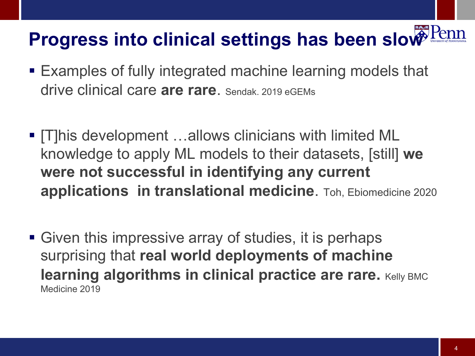## **Progress into clinical settings has been slow**

- Examples of fully integrated machine learning models that drive clinical care **are rare**. Sendak. 2019 eGEMs
- § [T]his development …allows clinicians with limited ML knowledge to apply ML models to their datasets, [still] **we were not successful in identifying any current applications in translational medicine**. Toh, Ebiomedicine 2020
- Given this impressive array of studies, it is perhaps surprising that **real world deployments of machine learning algorithms in clinical practice are rare.** Kelly BMC Medicine 2019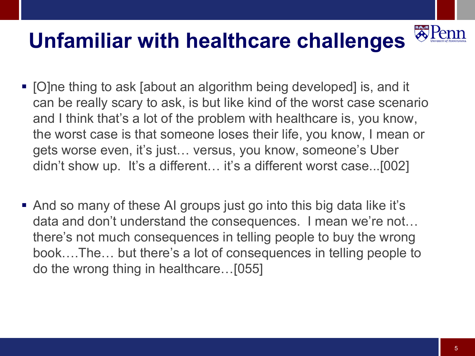#### **A** Pen **Unfamiliar with healthcare challenges**

- [O]ne thing to ask [about an algorithm being developed] is, and it can be really scary to ask, is but like kind of the worst case scenario and I think that's a lot of the problem with healthcare is, you know, the worst case is that someone loses their life, you know, I mean or gets worse even, it's just… versus, you know, someone's Uber didn't show up. It's a different… it's a different worst case...[002]
- And so many of these AI groups just go into this big data like it's data and don't understand the consequences. I mean we're not… there's not much consequences in telling people to buy the wrong book….The… but there's a lot of consequences in telling people to do the wrong thing in healthcare…[055]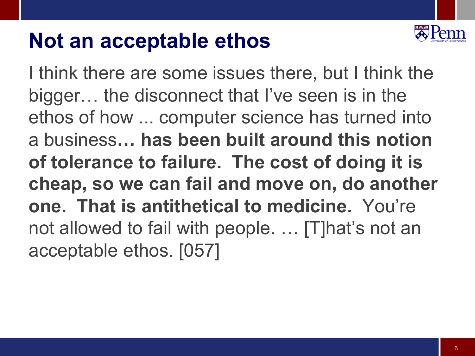## **Not an acceptable ethos**



I think there are some issues there, but I think the bigger… the disconnect that I've seen is in the ethos of how ... computer science has turned into a business**… has been built around this notion of tolerance to failure. The cost of doing it is cheap, so we can fail and move on, do another one. That is antithetical to medicine.** You're not allowed to fail with people. ... [T]hat's not an acceptable ethos. [057]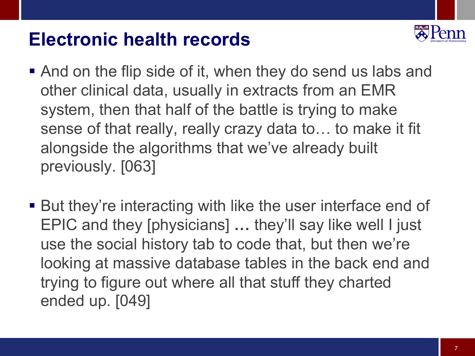## **Electronic health records**



- And on the flip side of it, when they do send us labs and other clinical data, usually in extracts from an EMR system, then that half of the battle is trying to make sense of that really, really crazy data to… to make it fit alongside the algorithms that we've already built previously. [063]
- But they're interacting with like the user interface end of EPIC and they [physicians] **…** they'll say like well I just use the social history tab to code that, but then we're looking at massive database tables in the back end and trying to figure out where all that stuff they charted ended up. [049]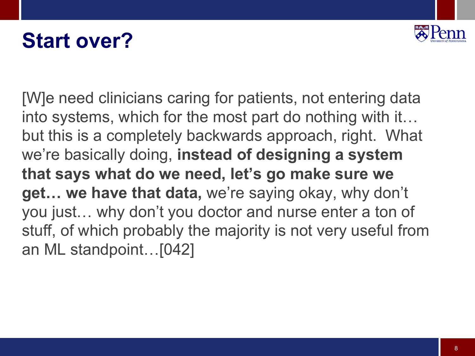# **Start over?**



[W]e need clinicians caring for patients, not entering data into systems, which for the most part do nothing with it… but this is a completely backwards approach, right. What we're basically doing, **instead of designing a system that says what do we need, let's go make sure we get… we have that data,** we're saying okay, why don't you just… why don't you doctor and nurse enter a ton of stuff, of which probably the majority is not very useful from an ML standpoint…[042]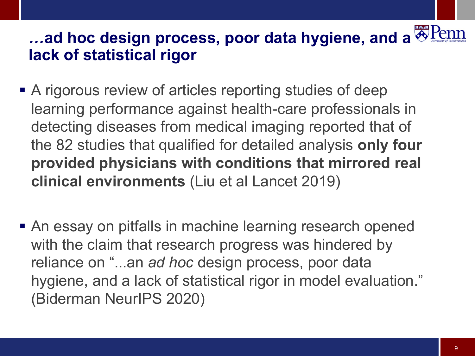## *…***ad hoc design process, poor data hygiene, and a lack of statistical rigor**

- A rigorous review of articles reporting studies of deep learning performance against health-care professionals in detecting diseases from medical imaging reported that of the 82 studies that qualified for detailed analysis **only four provided physicians with conditions that mirrored real clinical environments** (Liu et al Lancet 2019)
- An essay on pitfalls in machine learning research opened with the claim that research progress was hindered by reliance on "...an *ad hoc* design process, poor data hygiene, and a lack of statistical rigor in model evaluation." (Biderman NeurIPS 2020)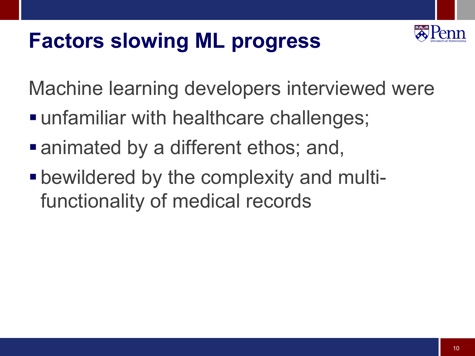# **Factors slowing ML progress**



Machine learning developers interviewed were

- unfamiliar with healthcare challenges;
- animated by a different ethos; and,
- bewildered by the complexity and multifunctionality of medical records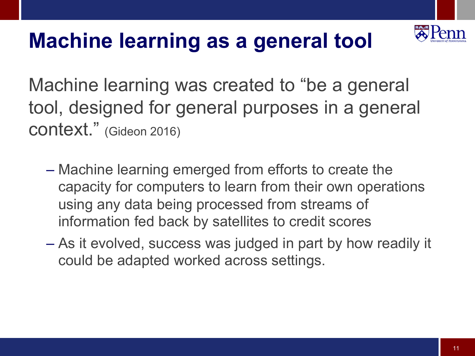

# **Machine learning as a general tool**

Machine learning was created to "be a general tool, designed for general purposes in a general context." (Gideon 2016)

- Machine learning emerged from efforts to create the capacity for computers to learn from their own operations using any data being processed from streams of information fed back by satellites to credit scores
- As it evolved, success was judged in part by how readily it could be adapted worked across settings.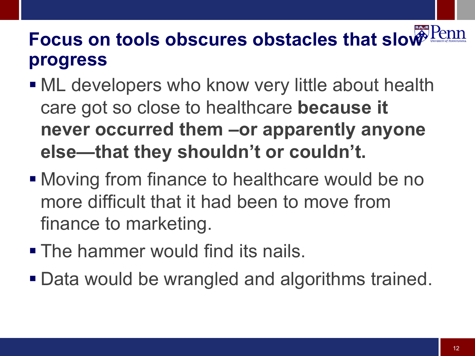# **Focus on tools obscures obstacles that slow Penn progress**

- ML developers who know very little about health care got so close to healthcare **because it never occurred them –or apparently anyone else—that they shouldn't or couldn't.**
- Moving from finance to healthcare would be no more difficult that it had been to move from finance to marketing.
- The hammer would find its nails.
- Data would be wrangled and algorithms trained.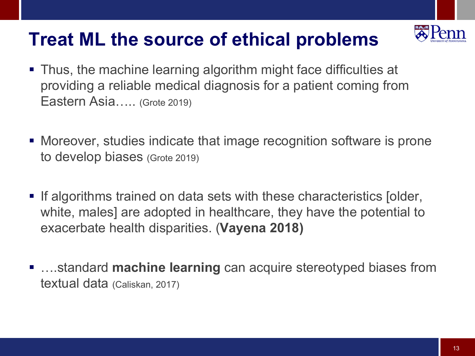## **Treat ML the source of ethical problems**



- Moreover, studies indicate that image recognition software is prone to develop biases (Grote 2019)
- If algorithms trained on data sets with these characteristics [older, white, males] are adopted in healthcare, they have the potential to exacerbate health disparities. (**Vayena 2018)**
- …standard **machine learning** can acquire stereotyped biases from textual data (Caliskan, 2017)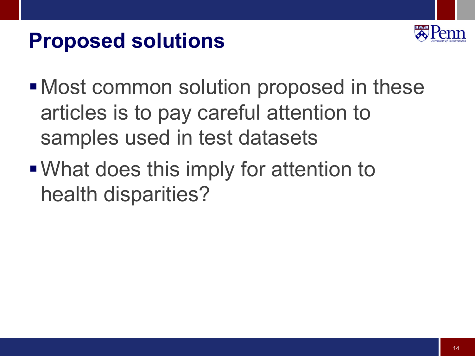# **Proposed solutions**



- Most common solution proposed in these articles is to pay careful attention to samples used in test datasets
- What does this imply for attention to health disparities?